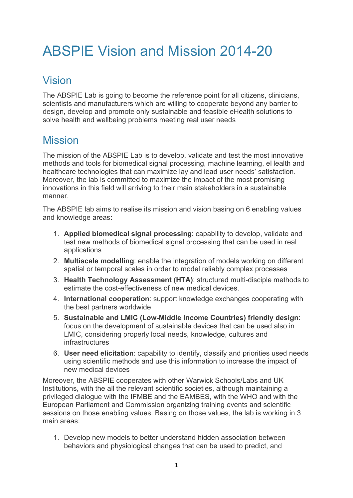# Vision

The ABSPIE Lab is going to become the reference point for all citizens, clinicians, scientists and manufacturers which are willing to cooperate beyond any barrier to design, develop and promote only sustainable and feasible eHealth solutions to solve health and wellbeing problems meeting real user needs

## Mission

The mission of the ABSPIE Lab is to develop, validate and test the most innovative methods and tools for biomedical signal processing, machine learning, eHealth and healthcare technologies that can maximize lay and lead user needs' satisfaction. Moreover, the lab is committed to maximize the impact of the most promising innovations in this field will arriving to their main stakeholders in a sustainable manner.

The ABSPIE lab aims to realise its mission and vision basing on 6 enabling values and knowledge areas:

- 1. Applied biomedical signal processing: capability to develop, validate and test new methods of biomedical signal processing that can be used in real applications
- 2. Multiscale modelling: enable the integration of models working on different spatial or temporal scales in order to model reliably complex processes
- 3. Health Technology Assessment (HTA): structured multi-disciple methods to estimate the cost-effectiveness of new medical devices.
- 4. International cooperation: support knowledge exchanges cooperating with the best partners worldwide
- 5. Sustainable and LMIC (Low-Middle Income Countries) friendly design: focus on the development of sustainable devices that can be used also in LMIC, considering properly local needs, knowledge, cultures and infrastructures
- 6. User need elicitation: capability to identify, classify and priorities used needs using scientific methods and use this information to increase the impact of new medical devices

Moreover, the ABSPIE cooperates with other Warwick Schools/Labs and UK Institutions, with the all the relevant scientific societies, although maintaining a privileged dialogue with the IFMBE and the EAMBES, with the WHO and with the European Parliament and Commission organizing training events and scientific sessions on those enabling values. Basing on those values, the lab is working in 3 main areas:

1. Develop new models to better understand hidden association between behaviors and physiological changes that can be used to predict, and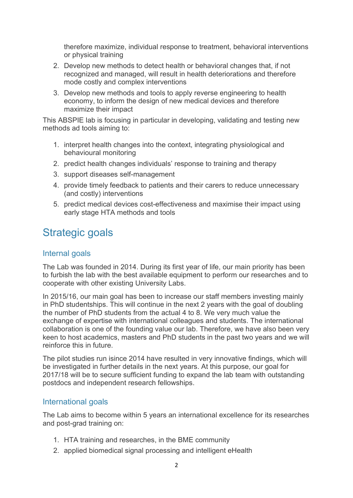therefore maximize, individual response to treatment, behavioral interventions or physical training

- 2. Develop new methods to detect health or behavioral changes that, if not recognized and managed, will result in health deteriorations and therefore mode costly and complex interventions
- 3. Develop new methods and tools to apply reverse engineering to health economy, to inform the design of new medical devices and therefore maximize their impact

This ABSPIE lab is focusing in particular in developing, validating and testing new methods ad tools aiming to:

- 1. interpret health changes into the context, integrating physiological and behavioural monitoring
- 2. predict health changes individuals' response to training and therapy
- 3. support diseases self-management
- 4. provide timely feedback to patients and their carers to reduce unnecessary (and costly) interventions
- 5. predict medical devices cost-effectiveness and maximise their impact using early stage HTA methods and tools

### Strategic goals

#### Internal goals

The Lab was founded in 2014. During its first year of life, our main priority has been to furbish the lab with the best available equipment to perform our researches and to cooperate with other existing University Labs.

In 2015/16, our main goal has been to increase our staff members investing mainly in PhD studentships. This will continue in the next 2 years with the goal of doubling the number of PhD students from the actual 4 to 8. We very much value the exchange of expertise with international colleagues and students. The international collaboration is one of the founding value our lab. Therefore, we have also been very keen to host academics, masters and PhD students in the past two years and we will reinforce this in future.

The pilot studies run isince 2014 have resulted in very innovative findings, which will be investigated in further details in the next years. At this purpose, our goal for 2017/18 will be to secure sufficient funding to expand the lab team with outstanding postdocs and independent research fellowships.

### International goals

The Lab aims to become within 5 years an international excellence for its researches and post-grad training on:

- 1. HTA training and researches, in the BME community
- 2. applied biomedical signal processing and intelligent eHealth